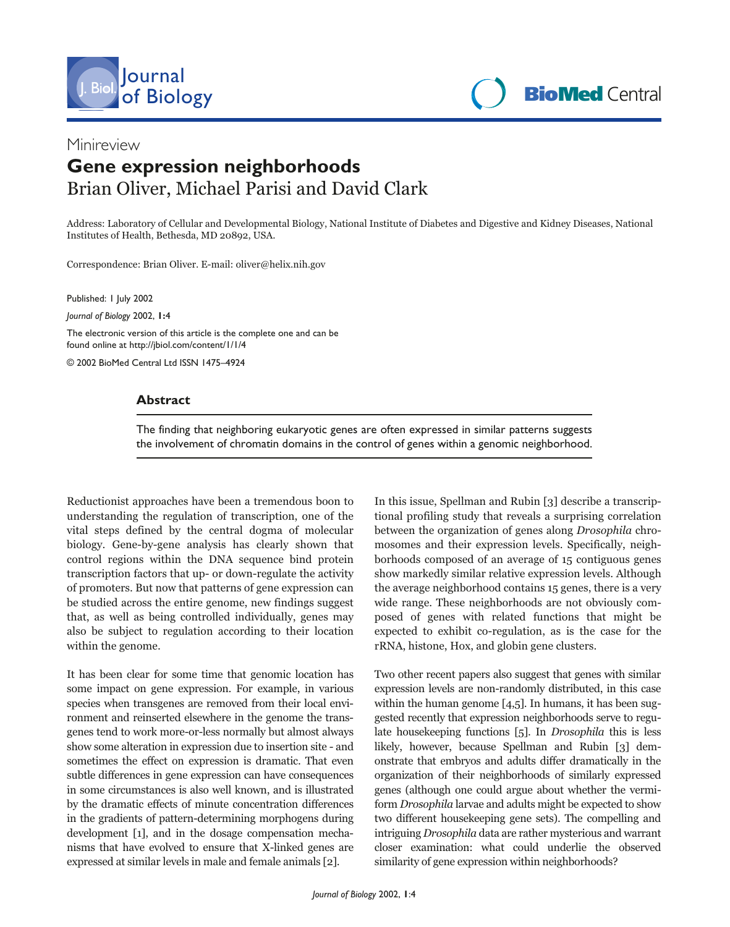

**Sournal**<br> **BioMed** Central **Contral Central** 

## Minireview

# **Gene expression neighborhoods** Brian Oliver, Michael Parisi and David Clark

Address: Laboratory of Cellular and Developmental Biology, National Institute of Diabetes and Digestive and Kidney Diseases, National Institutes of Health, Bethesda, MD 20892, USA.

Correspondence: Brian Oliver. E-mail: oliver@helix.nih.gov

Published: 1 July 2002

*Journal of Biology* 2002, **1:**4

The electronic version of this article is the complete one and can be found online at http://jbiol.com/content/1/1/4

© 2002 BioMed Central Ltd ISSN 1475–4924

### **Abstract**

The finding that neighboring eukaryotic genes are often expressed in similar patterns suggests the involvement of chromatin domains in the control of genes within a genomic neighborhood.

Reductionist approaches have been a tremendous boon to understanding the regulation of transcription, one of the vital steps defined by the central dogma of molecular biology. Gene-by-gene analysis has clearly shown that control regions within the DNA sequence bind protein transcription factors that up- or down-regulate the activity of promoters. But now that patterns of gene expression can be studied across the entire genome, new findings suggest that, as well as being controlled individually, genes may also be subject to regulation according to their location within the genome.

It has been clear for some time that genomic location has some impact on gene expression. For example, in various species when transgenes are removed from their local environment and reinserted elsewhere in the genome the transgenes tend to work more-or-less normally but almost always show some alteration in expression due to insertion site - and sometimes the effect on expression is dramatic. That even subtle differences in gene expression can have consequences in some circumstances is also well known, and is illustrated by the dramatic effects of minute concentration differences in the gradients of pattern-determining morphogens during development [1], and in the dosage compensation mechanisms that have evolved to ensure that X-linked genes are expressed at similar levels in male and female animals [2].

In this issue, Spellman and Rubin [3] describe a transcriptional profiling study that reveals a surprising correlation between the organization of genes along *Drosophila* chromosomes and their expression levels. Specifically, neighborhoods composed of an average of 15 contiguous genes show markedly similar relative expression levels. Although the average neighborhood contains 15 genes, there is a very wide range. These neighborhoods are not obviously composed of genes with related functions that might be expected to exhibit co-regulation, as is the case for the rRNA, histone, Hox, and globin gene clusters.

Two other recent papers also suggest that genes with similar expression levels are non-randomly distributed, in this case within the human genome [4,5]. In humans, it has been suggested recently that expression neighborhoods serve to regulate housekeeping functions [5]. In *Drosophila* this is less likely, however, because Spellman and Rubin [3] demonstrate that embryos and adults differ dramatically in the organization of their neighborhoods of similarly expressed genes (although one could argue about whether the vermiform *Drosophila* larvae and adults might be expected to show two different housekeeping gene sets). The compelling and intriguing *Drosophila* data are rather mysterious and warrant closer examination: what could underlie the observed similarity of gene expression within neighborhoods?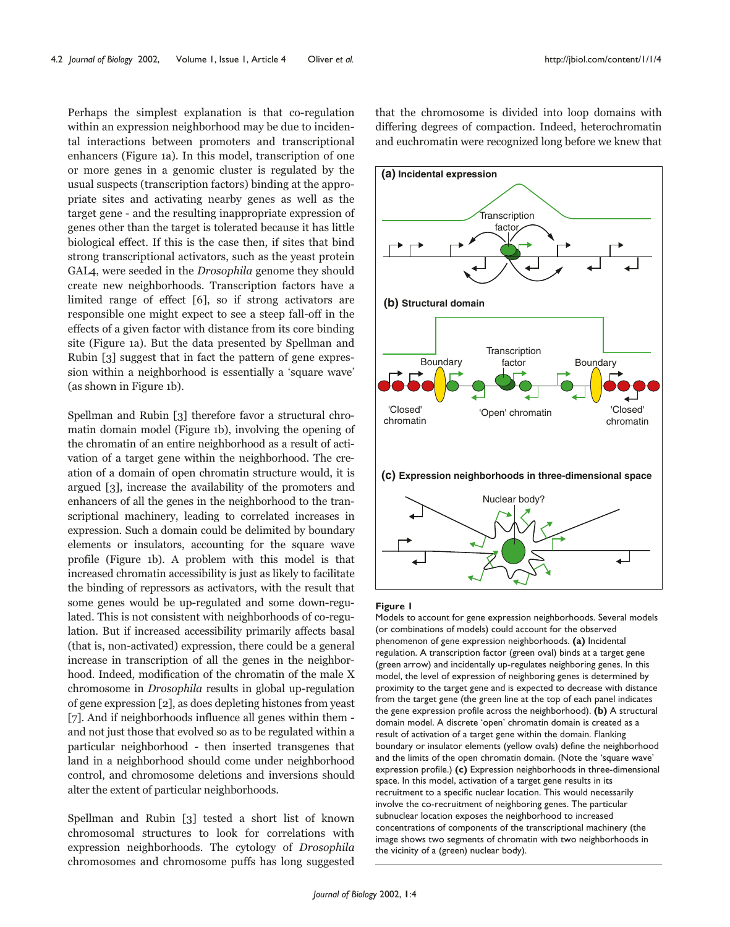Perhaps the simplest explanation is that co-regulation within an expression neighborhood may be due to incidental interactions between promoters and transcriptional enhancers (Figure 1a). In this model, transcription of one or more genes in a genomic cluster is regulated by the usual suspects (transcription factors) binding at the appropriate sites and activating nearby genes as well as the target gene - and the resulting inappropriate expression of genes other than the target is tolerated because it has little biological effect. If this is the case then, if sites that bind strong transcriptional activators, such as the yeast protein GAL4, were seeded in the *Drosophila* genome they should create new neighborhoods. Transcription factors have a limited range of effect [6], so if strong activators are responsible one might expect to see a steep fall-off in the effects of a given factor with distance from its core binding site (Figure 1a). But the data presented by Spellman and Rubin [3] suggest that in fact the pattern of gene expression within a neighborhood is essentially a 'square wave' (as shown in Figure 1b).

Spellman and Rubin [3] therefore favor a structural chromatin domain model (Figure 1b), involving the opening of the chromatin of an entire neighborhood as a result of activation of a target gene within the neighborhood. The creation of a domain of open chromatin structure would, it is argued [3], increase the availability of the promoters and enhancers of all the genes in the neighborhood to the transcriptional machinery, leading to correlated increases in expression. Such a domain could be delimited by boundary elements or insulators, accounting for the square wave profile (Figure 1b). A problem with this model is that increased chromatin accessibility is just as likely to facilitate the binding of repressors as activators, with the result that some genes would be up-regulated and some down-regulated. This is not consistent with neighborhoods of co-regulation. But if increased accessibility primarily affects basal (that is, non-activated) expression, there could be a general increase in transcription of all the genes in the neighborhood. Indeed, modification of the chromatin of the male X chromosome in *Drosophila* results in global up-regulation of gene expression [2], as does depleting histones from yeast [7]. And if neighborhoods influence all genes within them and not just those that evolved so as to be regulated within a particular neighborhood - then inserted transgenes that land in a neighborhood should come under neighborhood control, and chromosome deletions and inversions should alter the extent of particular neighborhoods.

Spellman and Rubin [3] tested a short list of known chromosomal structures to look for correlations with expression neighborhoods. The cytology of Drosophila chromosomes and chromosome puffs has long suggested that the chromosome is divided into loop domains with differing degrees of compaction. Indeed, heterochromatin and euchromatin were recognized long before we knew that



#### **Figure 1**

Models to account for gene expression neighborhoods. Several models (or combinations of models) could account for the observed phenomenon of gene expression neighborhoods. **(a)** Incidental regulation. A transcription factor (green oval) binds at a target gene (green arrow) and incidentally up-regulates neighboring genes. In this model, the level of expression of neighboring genes is determined by proximity to the target gene and is expected to decrease with distance from the target gene (the green line at the top of each panel indicates the gene expression profile across the neighborhood). **(b)** A structural domain model. A discrete 'open' chromatin domain is created as a result of activation of a target gene within the domain. Flanking boundary or insulator elements (yellow ovals) define the neighborhood and the limits of the open chromatin domain. (Note the 'square wave' expression profile.) **(c)** Expression neighborhoods in three-dimensional space. In this model, activation of a target gene results in its recruitment to a specific nuclear location. This would necessarily involve the co-recruitment of neighboring genes. The particular subnuclear location exposes the neighborhood to increased concentrations of components of the transcriptional machinery (the image shows two segments of chromatin with two neighborhoods in the vicinity of a (green) nuclear body).